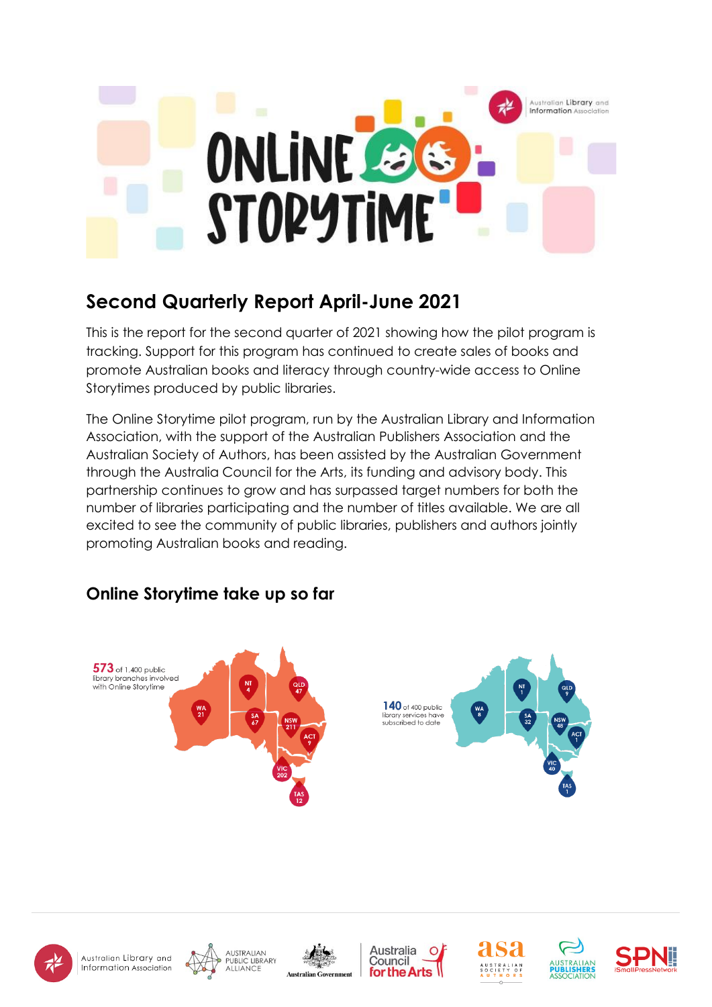

# **Second Quarterly Report April-June 2021**

This is the report for the second quarter of 2021 showing how the pilot program is tracking. Support for this program has continued to create sales of books and promote Australian books and literacy through country-wide access to Online Storytimes produced by public libraries.

The [Online Storytime pilot program,](https://www.alia.org.au/which-sector-are-you-interested/libraries-part-book-industry/online-storytime-agreement) run by the Australian Library and Information Association, with the support of the Australian Publishers Association and the Australian Society of Authors, has been assisted by the Australian Government through the Australia Council for the Arts, its funding and advisory body. This partnership continues to grow and has surpassed target numbers for both the number of libraries participating and the number of titles available. We are all excited to see the community of public libraries, publishers and authors jointly promoting Australian books and reading.

# **Online Storytime take up so far**

















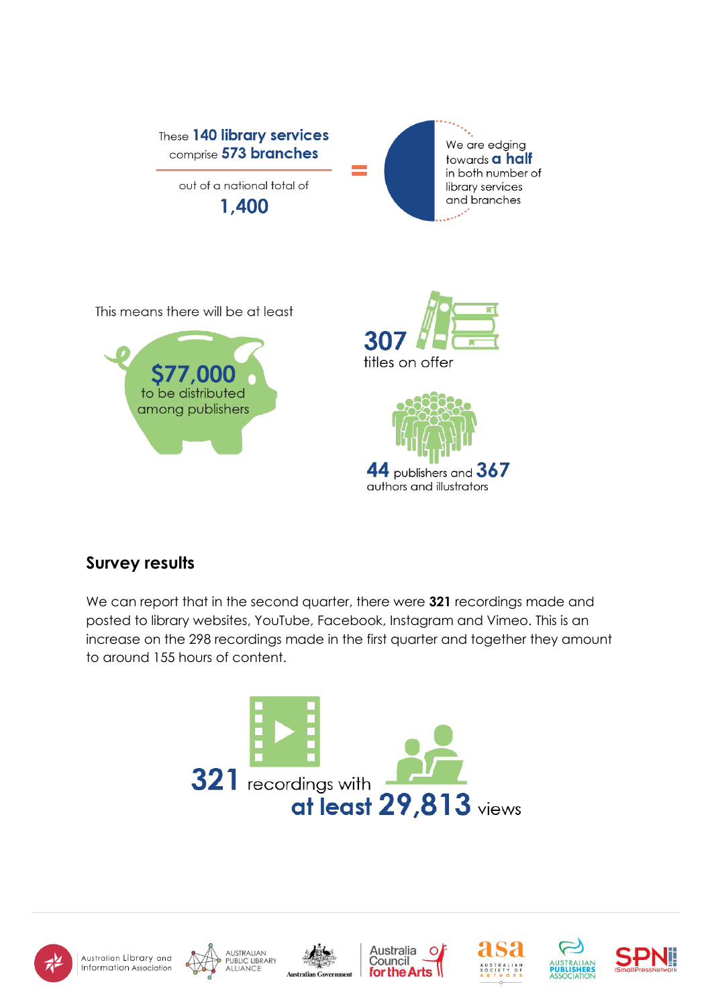

This means there will be at least







## **Survey results**

We can report that in the second quarter, there were **321** recordings made and posted to library websites, YouTube, Facebook, Instagram and Vimeo. This is an increase on the 298 recordings made in the first quarter and together they amount to around 155 hours of content.

















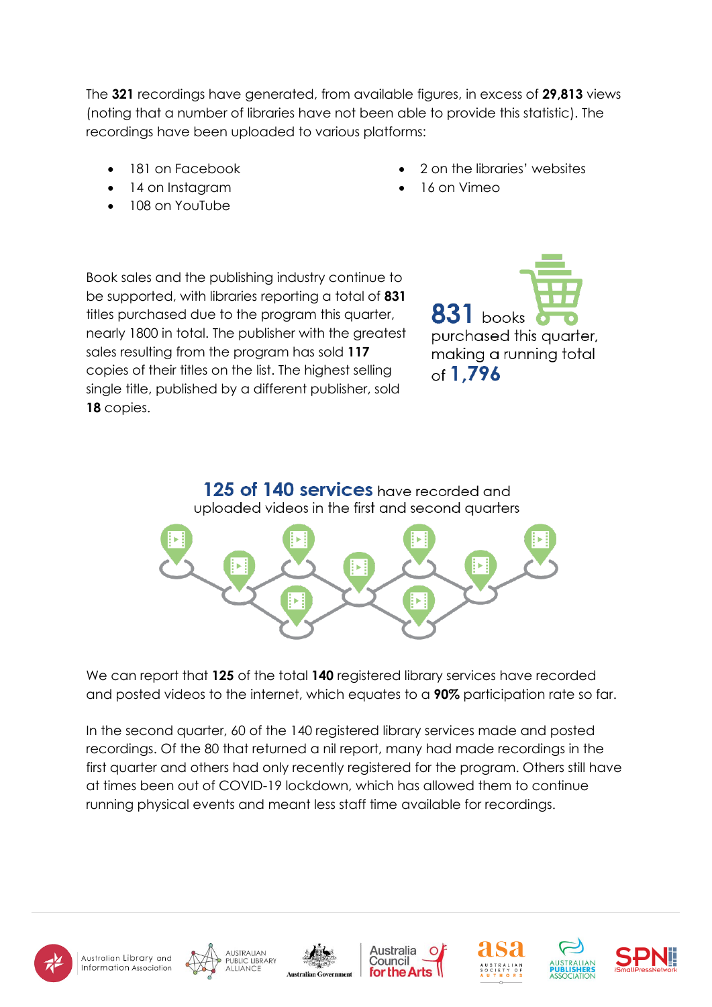The **321** recordings have generated, from available figures, in excess of **29,813** views (noting that a number of libraries have not been able to provide this statistic). The recordings have been uploaded to various platforms:

- 181 on Facebook
- 14 on Instagram
- 108 on YouTube
- 2 on the libraries' websites
- 16 on Vimeo

Book sales and the publishing industry continue to be supported, with libraries reporting a total of **831** titles purchased due to the program this quarter, nearly 1800 in total. The publisher with the greatest sales resulting from the program has sold **117** copies of their titles on the list. The highest selling single title, published by a different publisher, sold **18** copies.

**831** books purchased this auarter. making a running total of 1.796



We can report that **125** of the total **140** registered library services have recorded and posted videos to the internet, which equates to a **90%** participation rate so far.

In the second quarter, 60 of the 140 registered library services made and posted recordings. Of the 80 that returned a nil report, many had made recordings in the first quarter and others had only recently registered for the program. Others still have at times been out of COVID-19 lockdown, which has allowed them to continue running physical events and meant less staff time available for recordings.













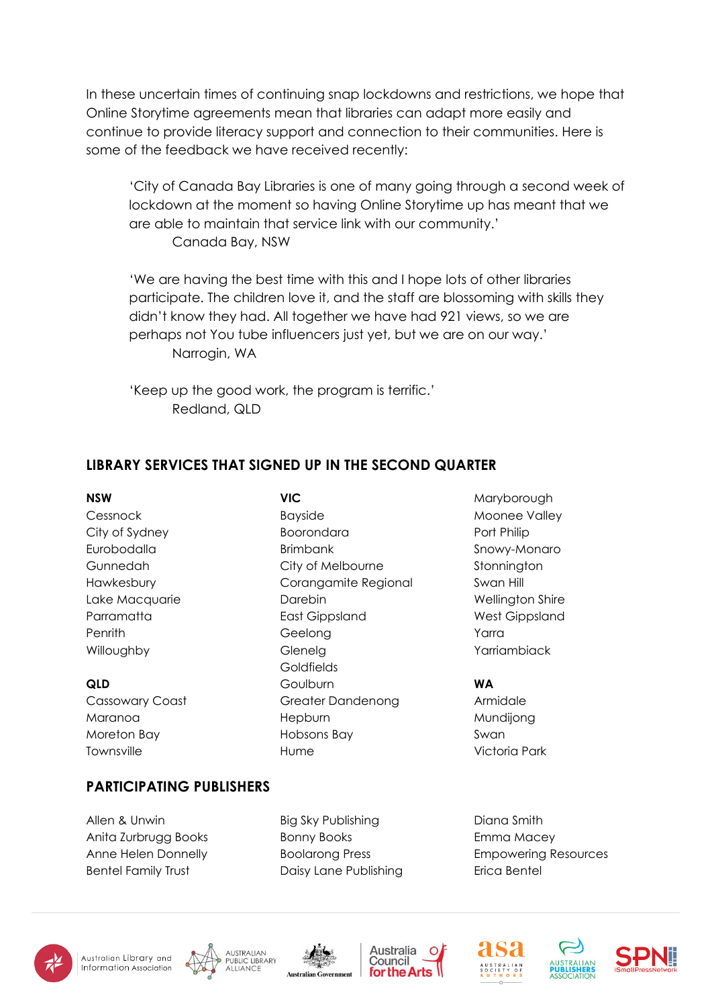In these uncertain times of continuing snap lockdowns and restrictions, we hope that Online Storytime agreements mean that libraries can adapt more easily and continue to provide literacy support and connection to their communities. Here is some of the feedback we have received recently:

'City of Canada Bay Libraries is one of many going through a second week of lockdown at the moment so having Online Storytime up has meant that we are able to maintain that service link with our community.' Canada Bay, NSW

'We are having the best time with this and I hope lots of other libraries participate. The children love it, and the staff are blossoming with skills they didn't know they had. All together we have had 921 views, so we are perhaps not You tube influencers just yet, but we are on our way.' Narrogin, WA

'Keep up the good work, the program is terrific.' Redland, QLD

#### **LIBRARY SERVICES THAT SIGNED UP IN THE SECOND QUARTER**

#### **NSW** Cessnock City of Sydney Eurobodalla Gunnedah Hawkesbury Lake Macquarie Parramatta **Penrith** Willoughby

#### **QLD**

Cassowary Coast Maranoa Moreton Bay **Townsville** 

**VIC** Bayside Boorondara Brimbank City of Melbourne Corangamite Regional Darebin East Gippsland Geelong Glenelg Goldfields **Goulburn** Greater Dandenong **Hepburn** Hobsons Bay Hume

Maryborough Moonee Valley Port Philip Snowy-Monaro **Stonnington** Swan Hill Wellington Shire West Gippsland Yarra Yarriambiack

#### **WA**

Armidale Mundijong Swan Victoria Park

#### **PARTICIPATING PUBLISHERS**

Allen & Unwin Anita Zurbrugg Books Anne Helen Donnelly Bentel Family Trust

Big Sky Publishing Bonny Books Boolarong Press Daisy Lane Publishing Diana Smith Emma Macey Empowering Resources Erica Bentel













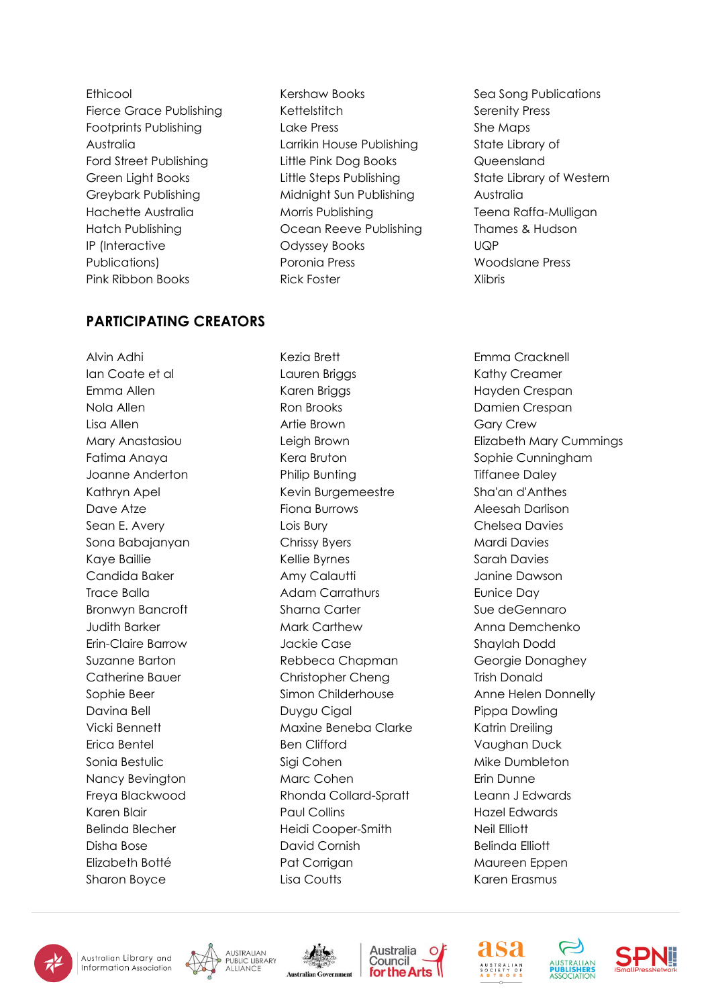Ethicool Fierce Grace Publishing Footprints Publishing Australia Ford Street Publishing Green Light Books Greybark Publishing Hachette Australia Hatch Publishing IP (Interactive Publications) Pink Ribbon Books

#### **PARTICIPATING CREATORS**

Alvin Adhi Ian Coate et al Emma Allen Nola Allen Lisa Allen Mary Anastasiou Fatima Anaya Joanne Anderton Kathryn Apel Dave Atze Sean E. Avery Sona Babajanyan Kaye Baillie Candida Baker Trace Balla Bronwyn Bancroft Judith Barker Erin-Claire Barrow Suzanne Barton Catherine Bauer Sophie Beer Davina Bell Vicki Bennett Erica Bentel Sonia Bestulic Nancy Bevington Freya Blackwood Karen Blair Belinda Blecher Disha Bose Elizabeth Botté Sharon Boyce

Kershaw Books **Kettelstitch** Lake Press Larrikin House Publishing Little Pink Dog Books Little Steps Publishing Midnight Sun Publishing Morris Publishing Ocean Reeve Publishing Odyssey Books Poronia Press Rick Foster

Sea Song Publications Serenity Press She Maps State Library of Queensland State Library of Western Australia Teena Raffa-Mulligan Thames & Hudson UQP Woodslane Press Xlibris

Kezia Brett Lauren Briggs Karen Briggs Ron Brooks Artie Brown Leigh Brown Kera Bruton Philip Bunting Kevin Burgemeestre Fiona Burrows Lois Bury Chrissy Byers Kellie Byrnes Amy Calautti Adam Carrathurs Sharna Carter Mark Carthew Jackie Case Rebbeca Chapman Christopher Cheng Simon Childerhouse Duygu Cigal Maxine Beneba Clarke Ben Clifford Sigi Cohen Marc Cohen Rhonda Collard-Spratt Paul Collins Heidi Cooper-Smith David Cornish Pat Corrigan Lisa Coutts

Emma Cracknell Kathy Creamer Hayden Crespan Damien Crespan Gary Crew Elizabeth Mary Cummings Sophie Cunningham Tiffanee Daley Sha'an d'Anthes Aleesah Darlison Chelsea Davies Mardi Davies Sarah Davies Janine Dawson Eunice Day Sue deGennaro Anna Demchenko Shaylah Dodd Georgie Donaghey Trish Donald Anne Helen Donnelly Pippa Dowling Katrin Dreiling Vaughan Duck Mike Dumbleton Erin Dunne Leann J Edwards Hazel Edwards Neil Elliott Belinda Elliott Maureen Eppen Karen Erasmus













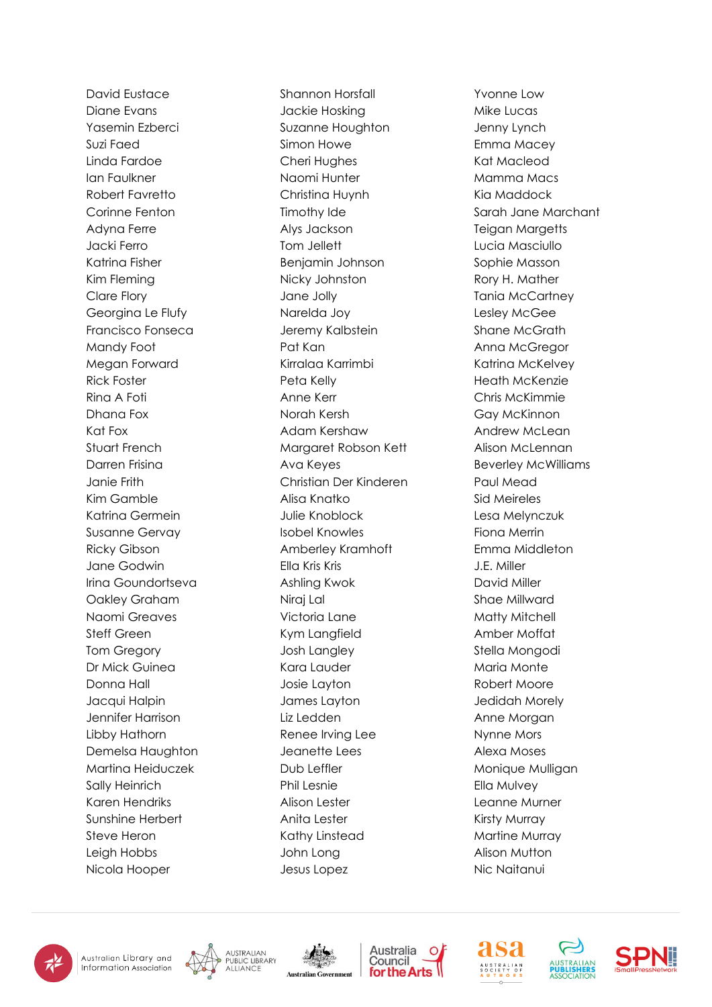David Eustace Diane Evans Yasemin Ezberci Suzi Faed Linda Fardoe Ian Faulkner Robert Favretto Corinne Fenton Adyna Ferre Jacki Ferro Katrina Fisher Kim Fleming Clare Flory Georgina Le Flufy Francisco Fonseca Mandy Foot Megan Forward Rick Foster Rina A Foti Dhana Fox Kat Fox Stuart French Darren Frisina Janie Frith Kim Gamble Katrina Germein Susanne Gervay Ricky Gibson Jane Godwin Irina Goundortseva Oakley Graham Naomi Greaves Steff Green Tom Gregory Dr Mick Guinea Donna Hall Jacqui Halpin Jennifer Harrison Libby Hathorn Demelsa Haughton Martina Heiduczek Sally Heinrich Karen Hendriks Sunshine Herbert Steve Heron Leigh Hobbs Nicola Hooper

Shannon Horsfall Jackie Hosking Suzanne Houghton Simon Howe Cheri Hughes Naomi Hunter Christina Huynh Timothy Ide Alys Jackson Tom Jellett Benjamin Johnson Nicky Johnston Jane Jolly Narelda Joy Jeremy Kalbstein Pat Kan Kirralaa Karrimbi Peta Kelly Anne Kerr Norah Kersh Adam Kershaw Margaret Robson Kett Ava Keyes Christian Der Kinderen Alisa Knatko Julie Knoblock Isobel Knowles Amberley Kramhoft Ella Kris Kris Ashling Kwok Niraj Lal Victoria Lane Kym Langfield Josh Langley Kara Lauder Josie Layton James Layton Liz Ledden Renee Irving Lee Jeanette Lees Dub Leffler Phil Lesnie Alison Lester Anita Lester Kathy Linstead John Long Jesus Lopez

Yvonne Low Mike Lucas Jenny Lynch Emma Macey Kat Macleod Mamma Macs Kia Maddock Sarah Jane Marchant Teigan Margetts Lucia Masciullo Sophie Masson Rory H. Mather Tania McCartney Lesley McGee Shane McGrath Anna McGregor Katrina McKelvey Heath McKenzie Chris McKimmie Gay McKinnon Andrew McLean Alison McLennan Beverley McWilliams Paul Mead Sid Meireles Lesa Melynczuk Fiona Merrin Emma Middleton J.E. Miller David Miller Shae Millward Matty Mitchell Amber Moffat Stella Mongodi Maria Monte Robert Moore Jedidah Morely Anne Morgan Nynne Mors Alexa Moses Monique Mulligan Ella Mulvey Leanne Murner Kirsty Murray Martine Murray Alison Mutton Nic Naitanui











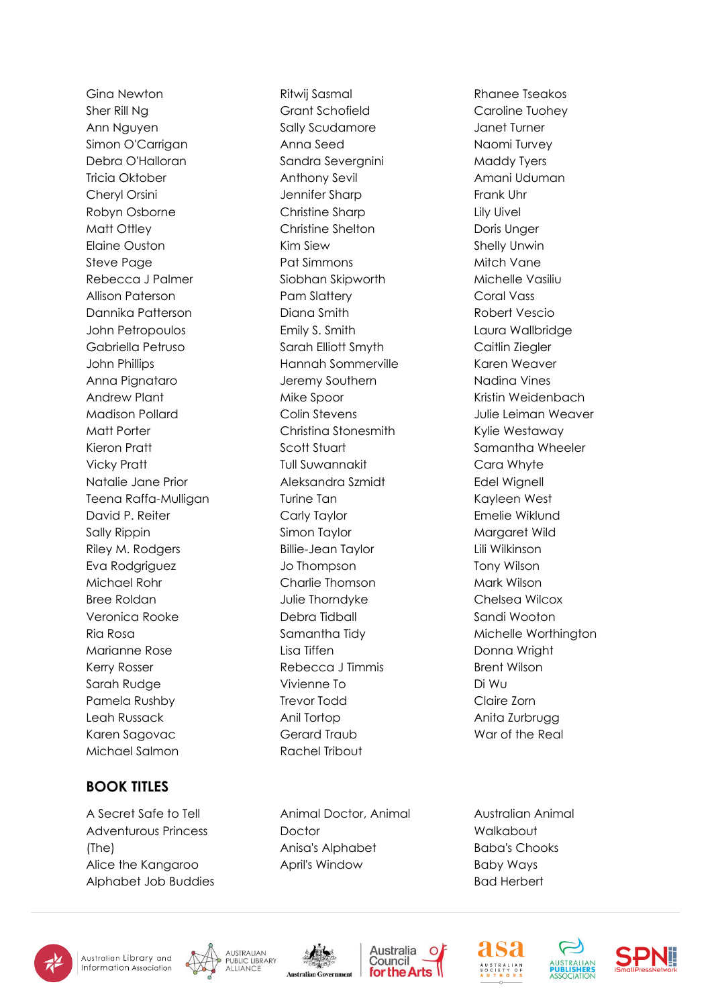Gina Newton Sher Rill Ng Ann Nguyen Simon O'Carrigan Debra O'Halloran Tricia Oktober Cheryl Orsini Robyn Osborne Matt Ottley Elaine Ouston Steve Page Rebecca J Palmer Allison Paterson Dannika Patterson John Petropoulos Gabriella Petruso John Phillips Anna Pignataro Andrew Plant Madison Pollard Matt Porter Kieron Pratt Vicky Pratt Natalie Jane Prior Teena Raffa-Mulligan David P. Reiter Sally Rippin Riley M. Rodgers Eva Rodgriguez Michael Rohr Bree Roldan Veronica Rooke Ria Rosa Marianne Rose Kerry Rosser Sarah Rudge Pamela Rushby Leah Russack Karen Sagovac Michael Salmon

### **BOOK TITLES**

A Secret Safe to Tell Adventurous Princess (The) Alice the Kangaroo Alphabet Job Buddies

Ritwij Sasmal Grant Schofield Sally Scudamore Anna Seed Sandra Severgnini Anthony Sevil Jennifer Sharp Christine Sharp Christine Shelton Kim Siew Pat Simmons Siobhan Skipworth Pam Slattery Diana Smith Emily S. Smith Sarah Elliott Smyth Hannah Sommerville Jeremy Southern Mike Spoor Colin Stevens Christina Stonesmith Scott Stuart Tull Suwannakit Aleksandra Szmidt Turine Tan Carly Taylor Simon Taylor Billie-Jean Taylor Jo Thompson Charlie Thomson Julie Thorndyke Debra Tidball Samantha Tidy Lisa Tiffen Rebecca J Timmis Vivienne To Trevor Todd Anil Tortop Gerard Traub Rachel Tribout

Animal Doctor, Animal Doctor Anisa's Alphabet April's Window

Rhanee Tseakos Caroline Tuohey Janet Turner Naomi Turvey Maddy Tyers Amani Uduman Frank Uhr Lily Uivel Doris Unger Shelly Unwin Mitch Vane Michelle Vasiliu Coral Vass Robert Vescio Laura Wallbridge Caitlin Ziegler Karen Weaver Nadina Vines Kristin Weidenbach Julie Leiman Weaver Kylie Westaway Samantha Wheeler Cara Whyte Edel Wignell Kayleen West Emelie Wiklund Margaret Wild Lili Wilkinson Tony Wilson Mark Wilson Chelsea Wilcox Sandi Wooton Michelle Worthington Donna Wright Brent Wilson Di Wu Claire Zorn Anita Zurbrugg War of the Real

Australian Animal Walkabout Baba's Chooks Baby Ways Bad Herbert













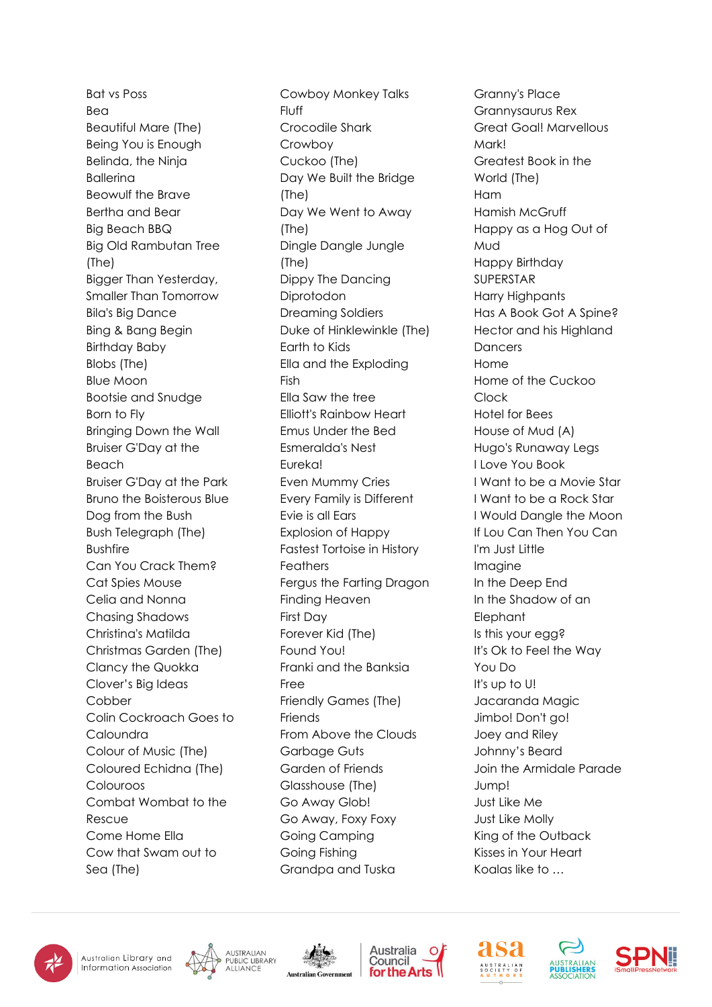Bat vs Poss Bea Beautiful Mare (The) Being You is Enough Belinda, the Ninja Ballerina Beowulf the Brave Bertha and Bear Big Beach BBQ Big Old Rambutan Tree (The) Bigger Than Yesterday, Smaller Than Tomorrow Bila's Big Dance Bing & Bang Begin Birthday Baby Blobs (The) Blue Moon Bootsie and Snudge Born to Fly Bringing Down the Wall Bruiser G'Day at the Beach Bruiser G'Day at the Park Bruno the Boisterous Blue Dog from the Bush Bush Telegraph (The) Bushfire Can You Crack Them? Cat Spies Mouse Celia and Nonna Chasing Shadows Christina's Matilda Christmas Garden (The) Clancy the Quokka Clover's Big Ideas Cobber Colin Cockroach Goes to Caloundra Colour of Music (The) Coloured Echidna (The) Colouroos Combat Wombat to the Rescue Come Home Ella Cow that Swam out to Sea (The)

Cowboy Monkey Talks Fluff Crocodile Shark Crowboy Cuckoo (The) Day We Built the Bridge (The) Day We Went to Away (The) Dingle Dangle Jungle (The) Dippy The Dancing Diprotodon Dreaming Soldiers Duke of Hinklewinkle (The) Earth to Kids Ella and the Exploding Fish Ella Saw the tree Elliott's Rainbow Heart Emus Under the Bed Esmeralda's Nest Eureka! Even Mummy Cries Every Family is Different Evie is all Ears Explosion of Happy Fastest Tortoise in History Feathers Fergus the Farting Dragon Finding Heaven First Day Forever Kid (The) Found You! Franki and the Banksia Free Friendly Games (The) **Friends** From Above the Clouds Garbage Guts Garden of Friends Glasshouse (The) Go Away Glob! Go Away, Foxy Foxy Going Camping Going Fishing Grandpa and Tuska

Granny's Place Grannysaurus Rex Great Goal! Marvellous **Markl** Greatest Book in the World (The) Ham Hamish McGruff Happy as a Hog Out of Mud Happy Birthday SUPERSTAR Harry Highpants Has A Book Got A Spine? Hector and his Highland **Dancers** Home Home of the Cuckoo Clock Hotel for Bees House of Mud (A) Hugo's Runaway Legs I Love You Book I Want to be a Movie Star I Want to be a Rock Star I Would Dangle the Moon If Lou Can Then You Can I'm Just Little Imagine In the Deep End In the Shadow of an Elephant Is this your egg? It's Ok to Feel the Way You Do It's up to U! Jacaranda Magic Jimbo! Don't go! Joey and Riley Johnny's Beard Join the Armidale Parade Jump! Just Like Me Just Like Molly King of the Outback Kisses in Your Heart Koalas like to …















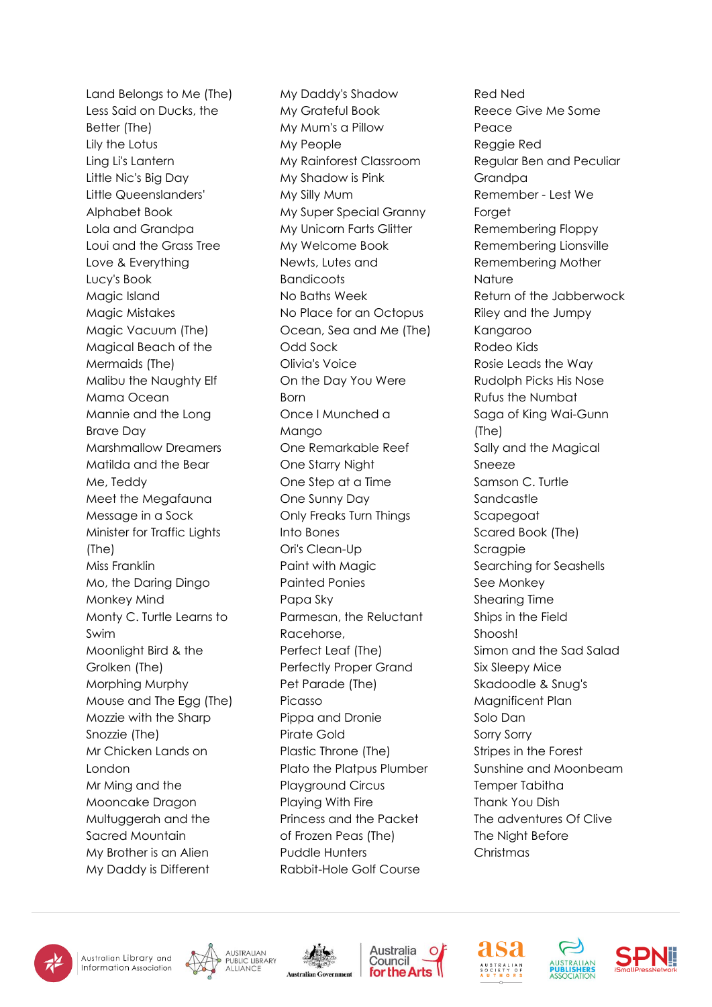Land Belongs to Me (The) Less Said on Ducks, the Better (The) Lily the Lotus Ling Li's Lantern Little Nic's Big Day Little Queenslanders' Alphabet Book Lola and Grandpa Loui and the Grass Tree Love & Everything Lucy's Book Magic Island Magic Mistakes Magic Vacuum (The) Magical Beach of the Mermaids (The) Malibu the Naughty Elf Mama Ocean Mannie and the Long Brave Day Marshmallow Dreamers Matilda and the Bear Me, Teddy Meet the Megafauna Message in a Sock Minister for Traffic Lights (The) Miss Franklin Mo, the Daring Dingo Monkey Mind Monty C. Turtle Learns to Swim Moonlight Bird & the Grolken (The) Morphing Murphy Mouse and The Egg (The) Mozzie with the Sharp Snozzie (The) Mr Chicken Lands on London Mr Ming and the Mooncake Dragon Multuggerah and the Sacred Mountain My Brother is an Alien My Daddy is Different

My Daddy's Shadow My Grateful Book My Mum's a Pillow My People My Rainforest Classroom My Shadow is Pink My Silly Mum My Super Special Granny My Unicorn Farts Glitter My Welcome Book Newts, Lutes and **Bandicoots** No Baths Week No Place for an Octopus Ocean, Sea and Me (The) Odd Sock Olivia's Voice On the Day You Were **Born** Once I Munched a Mango One Remarkable Reef One Starry Night One Step at a Time One Sunny Day Only Freaks Turn Things Into Bones Ori's Clean-Up Paint with Magic Painted Ponies Papa Sky Parmesan, the Reluctant Racehorse, Perfect Leaf (The) Perfectly Proper Grand Pet Parade (The) Picasso Pippa and Dronie Pirate Gold Plastic Throne (The) Plato the Platpus Plumber Playground Circus Playing With Fire Princess and the Packet of Frozen Peas (The) Puddle Hunters Rabbit-Hole Golf Course

Red Ned Reece Give Me Some Peace Reggie Red Regular Ben and Peculiar Grandpa Remember - Lest We **Forget** Remembering Floppy Remembering Lionsville Remembering Mother **Nature** Return of the Jabberwock Riley and the Jumpy Kangaroo Rodeo Kids Rosie Leads the Way Rudolph Picks His Nose Rufus the Numbat Saga of King Wai-Gunn (The) Sally and the Magical Sneeze Samson C. Turtle Sandcastle Scapegoat Scared Book (The) **Scragpie** Searching for Seashells See Monkey Shearing Time Ships in the Field Shoosh! Simon and the Sad Salad Six Sleepy Mice Skadoodle & Snug's Magnificent Plan Solo Dan Sorry Sorry Stripes in the Forest Sunshine and Moonbeam Temper Tabitha Thank You Dish The adventures Of Clive The Night Before Christmas















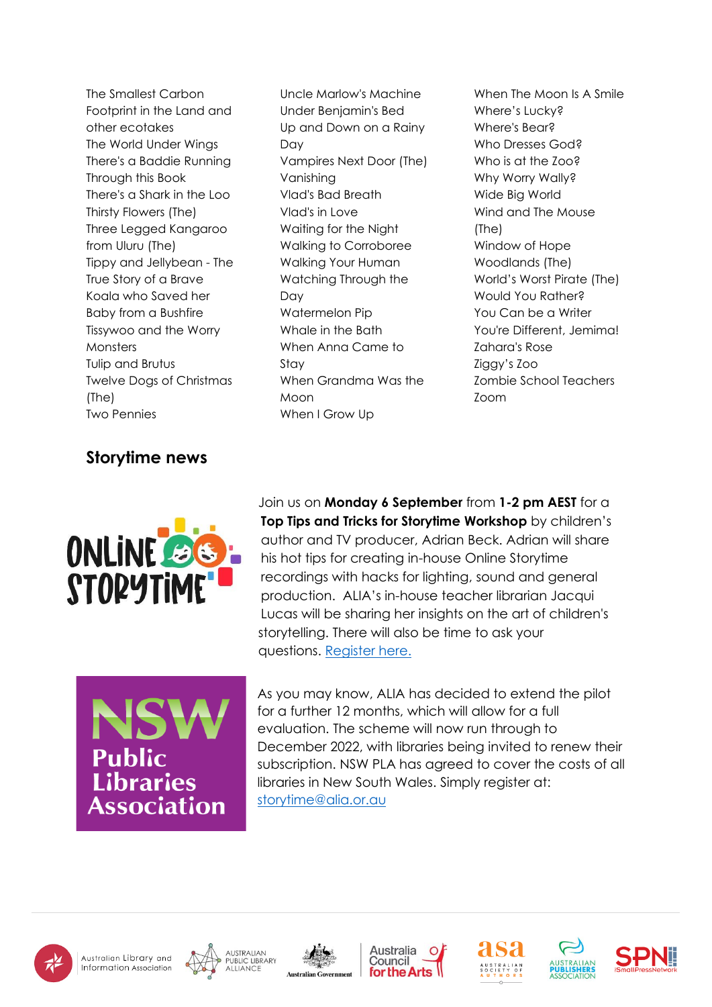The Smallest Carbon Footprint in the Land and other ecotakes The World Under Wings There's a Baddie Running Through this Book There's a Shark in the Loo Thirsty Flowers (The) Three Legged Kangaroo from Uluru (The) Tippy and Jellybean - The True Story of a Brave Koala who Saved her Baby from a Bushfire Tissywoo and the Worry **Monsters** Tulip and Brutus Twelve Dogs of Christmas (The) Two Pennies

## **Storytime news**



Uncle Marlow's Machine Under Benjamin's Bed Up and Down on a Rainy Day Vampires Next Door (The) Vanishing Vlad's Bad Breath Vlad's in Love Waiting for the Night Walking to Corroboree Walking Your Human Watching Through the Day Watermelon Pip Whale in the Bath When Anna Came to Stay When Grandma Was the Moon When I Grow Up

When The Moon Is A Smile Where's Lucky? Where's Bear? Who Dresses God? Who is at the Zoo? Why Worry Wally? Wide Big World Wind and The Mouse (The) Window of Hope Woodlands (The) World's Worst Pirate (The) Would You Rather? You Can be a Writer You're Different, Jemima! Zahara's Rose Ziggy's Zoo Zombie School Teachers Zoom

Join us on **Monday 6 September** from **1-2 pm AEST** for a **Top Tips and Tricks for Storytime Workshop** by children's author and TV producer, Adrian Beck. Adrian will share his hot tips for creating in-house Online Storytime recordings with hacks for lighting, sound and general production. ALIA's in-house teacher librarian Jacqui Lucas will be sharing her insights on the art of children's storytelling. There will also be time to ask your questions. [Register here.](https://alia.us5.list-manage.com/track/click?u=3d85c7e31956025c7f13258fb&id=f76bc4ff16&e=281da18259)



As you may know, ALIA has decided to extend the pilot for a further 12 months, which will allow for a full evaluation. The scheme will now run through to December 2022, with libraries being invited to renew their subscription. NSW PLA has agreed to cover the costs of all libraries in New South Wales. Simply register at: [storytime@alia.or.au](mailto:storytime@alia.or.au?subject=Online%20Storytime%20registration)















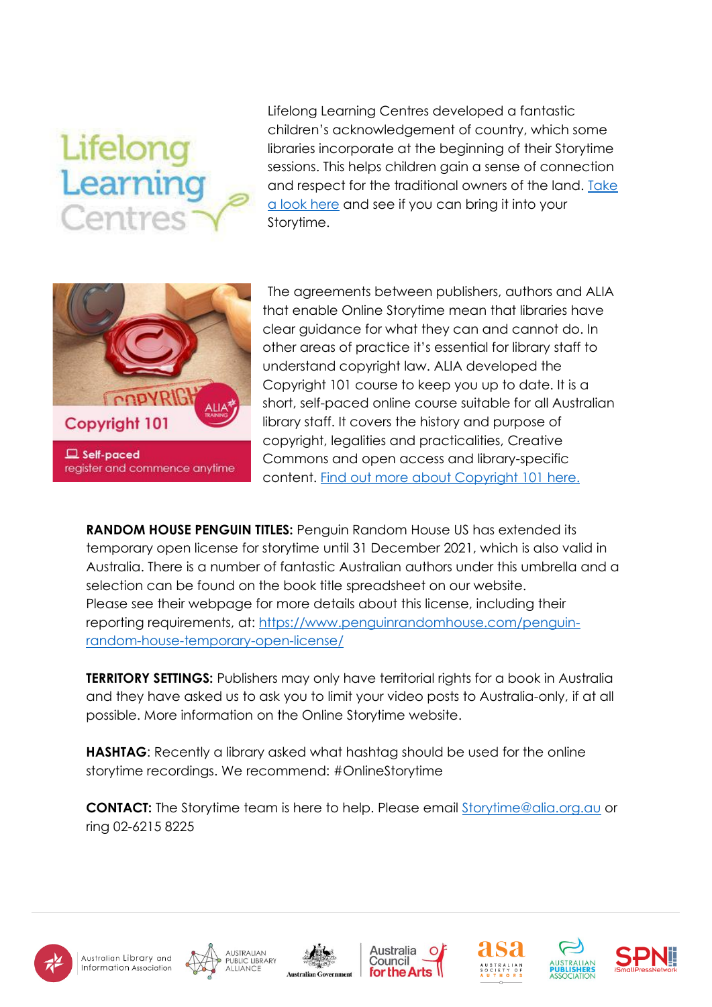# Lifelong Learning Centres

Lifelong Learning Centres developed a fantastic children's acknowledgement of country, which some libraries incorporate at the beginning of their Storytime sessions. This helps children gain a sense of connection and respect for the traditional owners of the land. [Take](https://www.youtube.com/watch?v=GSa-1bquKZc)  [a look here](https://www.youtube.com/watch?v=GSa-1bquKZc) and see if you can bring it into your Storytime.



register and commence anytime

The agreements between publishers, authors and ALIA that enable Online Storytime mean that libraries have clear guidance for what they can and cannot do. In other areas of practice it's essential for library staff to understand copyright law. ALIA developed the Copyright 101 course to keep you up to date. It is a short, self-paced online course suitable for all Australian library staff. It covers the history and purpose of copyright, legalities and practicalities, Creative Commons and open access and library-specific content. Find out [more about Copyright 101](https://membership.alia.org.au/events/event/copyright-101) here.

**RANDOM HOUSE PENGUIN TITLES:** Penguin Random House US has extended its temporary open license for storytime until 31 December 2021, which is also valid in Australia. There is a number of fantastic Australian authors under this umbrella and a selection can be found on the book title spreadsheet on our website. Please see their webpage for more details about this license, including their reporting requirements, at: [https://www.penguinrandomhouse.com/penguin](https://www.penguinrandomhouse.com/penguin-random-house-temporary-open-license/)[random-house-temporary-open-license/](https://www.penguinrandomhouse.com/penguin-random-house-temporary-open-license/)

**TERRITORY SETTINGS:** Publishers may only have territorial rights for a book in Australia and they have asked us to ask you to limit your video posts to Australia-only, if at all possible. More information on the Online Storytime website.

**HASHTAG**: Recently a library asked what hashtag should be used for the online storytime recordings. We recommend: #OnlineStorytime

**CONTACT:** The Storytime team is here to help. Please email [Storytime@alia.org.au](mailto:Storytime@alia.org.au) or ring 02-6215 8225